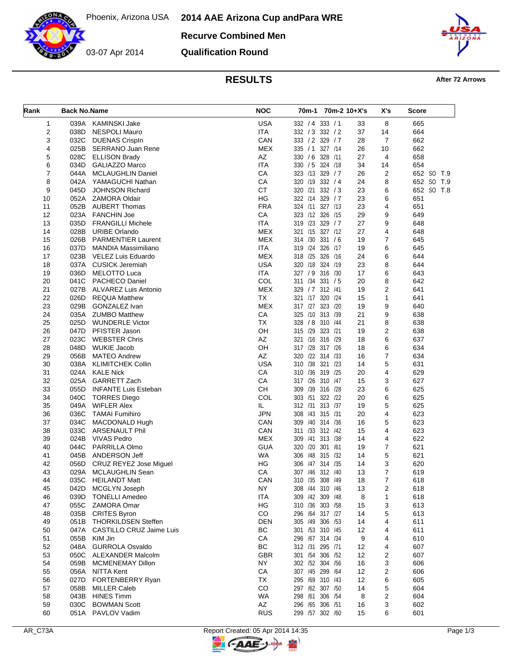

**Recurve Combined Men**

**Qualification Round**



## **RESULTS After 72 Arrows**

| Rank           | <b>Back No.Name</b> |                               | <b>NOC</b> | 70m-1 70m-2 10+X's    |    | X's            | Score      |
|----------------|---------------------|-------------------------------|------------|-----------------------|----|----------------|------------|
| 1              | 039A                | <b>KAMINSKI Jake</b>          | <b>USA</b> | 332 / 4 333 / 1       | 33 | 8              | 665        |
| $\overline{2}$ | 038D                | <b>NESPOLI Mauro</b>          | <b>ITA</b> | 332 / 3 332 / 2       | 37 | 14             | 664        |
| 3              | 032C                | <b>DUENAS Crispln</b>         | CAN        | 333 / 2 329 / 7       | 28 | $\overline{7}$ | 662        |
| 4              | 025B                | SERRANO Juan Rene             | <b>MEX</b> | 335 / 1<br>327 /14    | 26 | 10             | 662        |
| 5              | 028C                | <b>ELLISON Brady</b>          | AZ         | 330 / 6 328 /11       | 27 | 4              | 658        |
| 6              | 034D                | GALIAZZO Marco                | <b>ITA</b> | 330 / 5 324 / 18      | 34 | 14             | 654        |
| 7              | 044A                | <b>MCLAUGHLIN Daniel</b>      | CA         | 323 /13 329 / 7       | 26 | 2              | 652 SO T.9 |
| 8              | 042A                | YAMAGUCHI Nathan              | CA         | 320 /19 332 / 4       | 24 | 8              | 652 SO T.9 |
| 9              | 045D                | <b>JOHNSON Richard</b>        | <b>CT</b>  | 320 /21 332 / 3       | 23 | 6              | 652 SO T.8 |
| 10             |                     | 052A ZAMORA Oldair            | HG         | 322 /14<br>329/7      | 23 | 6              | 651        |
| 11             | 052B                | <b>AUBERT Thomas</b>          | <b>FRA</b> | 324 /11 327 /13       | 23 | 4              | 651        |
| 12             | 023A                | <b>FANCHIN Joe</b>            | CA         | 323 /12 326 /15       | 29 | 9              | 649        |
| 13             | 035D                | <b>FRANGILLI Michele</b>      | <b>ITA</b> | 319 /23 329 / 7       | 27 | 9              | 648        |
| 14             | 028B                | <b>URIBE Orlando</b>          | <b>MEX</b> | 321 /15 327 /12       | 27 | 4              | 648        |
| 15             | 026B                | <b>PARMENTIER Laurent</b>     | <b>MEX</b> | 331 / 6<br>314 /30    | 19 | $\overline{7}$ | 645        |
| 16             | 037D                | <b>MANDIA Massimiliano</b>    | <b>ITA</b> | 319 /24 326 /17       | 19 | 6              | 645        |
| 17             | 023B                | VELEZ Luis Eduardo            | <b>MEX</b> | 318 /25 326 /16       | 24 | 6              | 644        |
| 18             | 037A                | <b>CUSICK Jeremiah</b>        | <b>USA</b> | 320 /18 324 /19       | 23 | 8              | 644        |
| 19             | 036D                | MELOTTO Luca                  | <b>ITA</b> | 327 / 9 316 / 30      | 17 | 6              | 643        |
| 20             | 041C                | <b>PACHECO Daniel</b>         | COL        | 311 /34 331 / 5       | 20 | 8              | 642        |
| 21             | 027B                | ALVAREZ Luis Antonio          | <b>MEX</b> | 329 / 7<br>312 /41    | 19 | $\overline{2}$ | 641        |
| 22             | 026D                | <b>REQUA Matthew</b>          | <b>TX</b>  | 320 /24<br>321 /17    | 15 | $\mathbf{1}$   | 641        |
| 23             | 029B                | GONZALEZ Ivan                 | <b>MEX</b> | 317 /27 323 /20       | 19 | 9              | 640        |
| 24             | 035A                | <b>ZUMBO Matthew</b>          | CA         | 325 /10 313 /39       | 21 | 9              | 638        |
| 25             | 025D                | <b>WUNDERLE Victor</b>        | <b>TX</b>  | 328 / 8 310 / 44      | 21 | 8              | 638        |
| 26             | 047D                | PFISTER Jason                 | OН         | 315 /29 323 /21       | 19 | 2              | 638        |
| 27             | 023C                | <b>WEBSTER Chris</b>          | AZ         | 321 /16 316 /29       | 18 | 6              | 637        |
| 28             | 048D                | <b>WUKIE Jacob</b>            | OH         | 317 /28 317 /26       | 18 | 6              | 634        |
| 29             | 056B                | <b>MATEO Andrew</b>           | AZ         | 320 /22 314 /33       | 16 | 7              | 634        |
| 30             | 038A                | <b>KLIMITCHEK Collin</b>      | <b>USA</b> | 310 /38 321 /23       | 14 | 5              | 631        |
| 31             | 024A                | <b>KALE Nick</b>              | CA         | 310 /36 319 /25       | 20 | 4              | 629        |
| 32             | 025A                | GARRETT Zach                  | CA         | 317 /26 310 /47       | 15 | 3              | 627        |
| 33             | 055D                | <b>INFANTE Luis Esteban</b>   | <b>CH</b>  | 309<br>/39<br>316 /28 | 23 | 6              | 625        |
| 34             | 040C                | <b>TORRES Diego</b>           | COL        | 303 /51 322 /22       | 20 | 6              | 625        |
| 35             | 049A                | <b>WIFLER Alex</b>            | IL         | 312 /31 313 /37       | 19 | 5              | 625        |
| 36             | 036C                | <b>TAMAI Fumihiro</b>         | <b>JPN</b> | 308 /43 315 /31       | 20 | 4              | 623        |
| 37             | 034C                | <b>MACDONALD Hugh</b>         | CAN        | 309 /40 314 /36       | 16 | 5              | 623        |
| 38             | 033C                | <b>ARSENAULT Phil</b>         | CAN        | 311 /33 312 /42       | 15 | 4              | 623        |
| 39             | 024B                | <b>VIVAS Pedro</b>            | <b>MEX</b> | 309 /41 313 /38       | 14 | 4              | 622        |
| 40             | 044C                | PARRILLA Olmo                 | GUA        | 320 /20 301 /61       | 19 | 7              | 621        |
| 41             | 045B                | ANDERSON Jeff                 | WA         | 306 /48 315 /32       | 14 | 5              | 621        |
| 42             | 056D                | <b>CRUZ REYEZ Jose Miguel</b> | HG         | 306 /47 314 /35       | 14 | 3              | 620        |
| 43             | 029A                | MCLAUGHLIN Sean               | CA         | 307 /46 312 /40       | 13 | 7              | 619        |
| 44             | 035C                | <b>HEILANDT Matt</b>          | CAN        | 310 /35 308 /49       | 18 | 7              | 618        |
| 45             | 042D                | MCGLYN Joseph                 | NY         | 308 /44 310 /46       | 13 | 2              | 618        |
| 46             | 039D                | <b>TONELLI Amedeo</b>         | ITA        | 309 /42 309 /48       | 8  | 1              | 618        |
| 47             |                     | 055C ZAMORA Omar              | ΗG         | 310 /36 303 /58       | 15 | 3              | 613        |
| 48             | 035B                | <b>CRITES Byron</b>           | CO         | 296 /64 317 /27       | 14 | 5              | 613        |
| 49             | 051B                | <b>THORKILDSEN Steffen</b>    | DEN        | 305 /49 306 /53       | 14 | 4              | 611        |
| 50             | 047A                | CASTILLO CRUZ Jaime Luis      | ВC         | 301 /53 310 /45       | 12 | 4              | 611        |
| 51             | 055B                | KIM Jin                       | CA         | 296 /67 314 /34       | 9  | 4              | 610        |
| 52             | 048A                | <b>GURROLA Osvaldo</b>        | ВC         | 312 /31 295 /71       | 12 | 4              | 607        |
| 53             | 050C                | ALEXANDER Malcolm             | <b>GBR</b> | 301 /54 306 /52       | 12 | 2              | 607        |
| 54             | 059B                | <b>MCMENEMAY Dillon</b>       | ΝY         | 302 /52 304 /56       | 16 | 3              | 606        |
| 55             | 056A                | NITTA Kent                    | CA         | 307 /45 299 /64       | 12 | 2              | 606        |
| 56             | 027D                | FORTENBERRY Ryan              | TX         | 295 /69 310 /43       | 12 | 6              | 605        |
| 57             | 058B                | <b>MILLER Caleb</b>           | CO         | 297 /62 307 /50       | 14 | 5              | 604        |
| 58             | 043B                | <b>HINES Timm</b>             | <b>WA</b>  | 298 /61 306 /54       | 8  | 2              | 604        |
| 59             | 030C                | <b>BOWMAN Scott</b>           | AZ         | 296 /65 306 /51       | 16 | 3              | 602        |
| 60             |                     | 051A PAVLOV Vadim             | <b>RUS</b> | 299 /57 302 /60       | 15 | 6              | 601        |

**CAAE**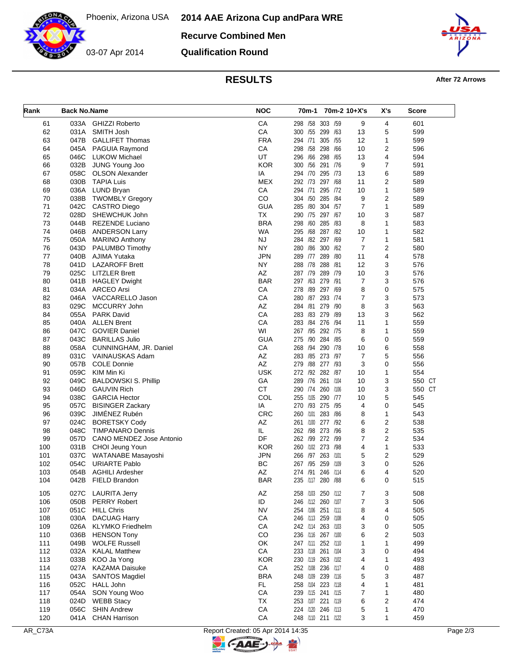Phoenix, Arizona USA **2014 AAE Arizona Cup and Para WRE**

**Recurve Combined Men**

03-07 Apr 2014

**Qualification Round**



**RESULTS After 72 Arrows** 

| Rank | <b>Back No.Name</b> |                                               | <b>NOC</b> |                   | 70m-1 70m-2 10+X's |                | X's            | Score  |
|------|---------------------|-----------------------------------------------|------------|-------------------|--------------------|----------------|----------------|--------|
| 61   |                     | 033A GHIZZI Roberto                           | CA         | 298 /58 303 /59   |                    | 9              | 4              | 601    |
| 62   |                     | 031A SMITH Josh                               | CA         | 300 /55 299 /63   |                    | 13             | 5              | 599    |
| 63   | 047B                | <b>GALLIFET Thomas</b>                        | <b>FRA</b> | 294 /71           | 305 /55            | 12             | 1              | 599    |
| 64   |                     | 045A PAGUIA Raymond                           | CA         | 298 /58 298 /66   |                    | 10             | $\overline{2}$ | 596    |
| 65   |                     | 046C LUKOW Michael                            | UT         | 296 /66 298 /65   |                    | 13             | 4              | 594    |
| 66   |                     | 032B JUNG Young Joo                           | <b>KOR</b> | 300 /56 291 /76   |                    | 9              | $\overline{7}$ | 591    |
| 67   | 058C                | <b>OLSON Alexander</b>                        | IA         | 294 /70 295 /73   |                    | 13             | 6              | 589    |
| 68   | 030B                | <b>TAPIA Luis</b>                             | <b>MEX</b> | 292 /73 297 /68   |                    | 11             | 2              | 589    |
| 69   |                     | 036A LUND Bryan                               | CA         | 294 /71           | 295 /72            | 10             | 1              | 589    |
| 70   | 038B                | <b>TWOMBLY Gregory</b>                        | CO         | 304 /50 285 /84   |                    | 9              | $\overline{2}$ | 589    |
| 71   | 042C                | <b>CASTRO Diego</b>                           | <b>GUA</b> | 285 /80 304 /57   |                    | $\overline{7}$ | $\mathbf{1}$   | 589    |
| 72   | 028D                | SHEWCHUK John                                 | <b>TX</b>  | 290 /75 297 /67   |                    | 10             | 3              | 587    |
| 73   | 044B                | <b>REZENDE Luciano</b>                        | <b>BRA</b> | 298 /60 285 /83   |                    | 8              | 1              | 583    |
| 74   | 046B                | <b>ANDERSON Larry</b>                         | WA         | 295 /68 287 /82   |                    | 10             | 1              | 582    |
| 75   |                     | 050A MARINO Anthony                           | <b>NJ</b>  | 284 /82 297 /69   |                    | $\overline{7}$ | 1              | 581    |
| 76   | 043D                | PALUMBO Timothy                               | NY.        | 280 /86 300 /62   |                    | $\overline{7}$ | $\overline{2}$ | 580    |
| 77   | 040B                | AJIMA Yutaka                                  | <b>JPN</b> | 289 /77 289 /80   |                    | 11             | 4              | 578    |
| 78   | 041D                | <b>LAZAROFF Brett</b>                         | <b>NY</b>  | 288 /78 288 /81   |                    | 12             | 3              | 576    |
| 79   |                     | 025C LITZLER Brett                            | AZ         | 287 /79 289 /79   |                    | 10             | 3              | 576    |
| 80   |                     | 041B HAGLEY Dwight                            | <b>BAR</b> | 297 /63 279 /91   |                    | 7              | 3              | 576    |
| 81   |                     | 034A ARCEO Arsi                               | CA         | 278 /89 297 /69   |                    | 8              | 0              | 575    |
| 82   |                     | 046A VACCARELLO Jason                         | CA         | 280 /87 293 /74   |                    | 7              | 3              | 573    |
| 83   | 029C                | MCCURRY John                                  | AZ         | 284 /81 279 /90   |                    | 8              | 3              | 563    |
| 84   |                     | 055A PARK David                               | CA         | 283 /83 279 /89   |                    | 13             | 3              | 562    |
| 85   |                     | 040A ALLEN Brent                              | CA         | 283 /84 276 /94   |                    | 11             | 1              | 559    |
| 86   | 047C                | <b>GOVIER Daniel</b>                          | WI         | 267 /95 292 /75   |                    | 8              | 1              | 559    |
| 87   |                     | 043C BARILLAS Julio                           | <b>GUA</b> | 275 /90 284 /85   |                    | 6              | 0              | 559    |
| 88   | 058A                | CUNNINGHAM, JR. Daniel                        | CA         | 268 /94 290 /78   |                    | 10             | 6              | 558    |
| 89   |                     | 031C VAINAUSKAS Adam                          | AZ         | 283 / 85 273 / 97 |                    | $\overline{7}$ | 5              | 556    |
| 90   | 057B                | <b>COLE Donnie</b>                            | AZ         | 279 /88 277 /93   |                    | 3              | 0              | 556    |
| 91   | 059C                | KIM Min Ki                                    | <b>USK</b> | 272 /92 282 /87   |                    | 10             | 1              | 554    |
| 92   | 049C                | <b>BALDOWSKI S. Phillip</b>                   | GA         | 289 /76 261 /104  |                    | 10             | 3              | 550 CT |
| 93   | 046D                | <b>GAUVIN Rich</b>                            | <b>CT</b>  | 290 /74 260 /106  |                    | 10             | 3              | 550 CT |
| 94   | 038C                | <b>GARCIA Hector</b>                          | COL        | 255 /105 290 /77  |                    | 10             | 5              | 545    |
| 95   |                     | 057C BISINGER Zackary                         | IA         | 270 /93 275 /95   |                    | 4              | 0              | 545    |
| 96   |                     | 039C JIMÉNEZ Rubén                            | <b>CRC</b> | 260 /101          | 283 /86            | 8              | 1              | 543    |
| 97   | 024C                | <b>BORETSKY Cody</b>                          | AZ         | 261 /100 277 /92  |                    | 6              | 2              | 538    |
| 98   | 048C                | TIMPANARO Dennis                              | IL.        | 262 /98 273 /96   |                    | 8              | $\overline{2}$ | 535    |
| 99   | 057D                | CANO MENDEZ Jose Antonio                      | DF         | 262 /99 272 /99   |                    | $\overline{7}$ | $\overline{2}$ | 534    |
| 100  |                     | 031B CHOI Jeung Youn                          | <b>KOR</b> | 260 /102 273 /98  |                    | 4              | 1              | 533    |
| 101  |                     | 037C WATANABE Masayoshi                       | <b>JPN</b> | 266 /97           | 263 /101           | 5              | 2              | 529    |
| 102  | 054C                | <b>URIARTE Pablo</b>                          | <b>BC</b>  | 267 /95 259 /109  |                    | 3              | 0              | 526    |
| 103  | 054B                | <b>AGHILI Ardesher</b>                        | ΑZ         | 274 /91 246 /114  |                    | 6              | 4              | 520    |
| 104  |                     | 042B FIELD Brandon                            | <b>BAR</b> | 235 /117 280 /88  |                    | 6              | 0              | 515    |
| 105  | 027C                | <b>LAURITA Jerry</b>                          | AZ         | 258 /103 250 /112 |                    | 7              | 3              | 508    |
| 106  |                     | 050B PERRY Robert                             | ID         | 246 /112 260 /107 |                    | 7              | 3              | 506    |
| 107  | 051C                | <b>HILL Chris</b>                             | <b>NV</b>  | 254 /106 251 /111 |                    | 8              | 4              | 505    |
| 108  | 030A                | <b>DACUAG Harry</b>                           | СA         | 246 /113 259 /108 |                    | 4              | 0              | 505    |
| 109  | 026A                |                                               | CA         | 242 /114 263 /103 |                    | 3              | 0              | 505    |
| 110  | 036B                | <b>KLYMKO</b> Friedhelm<br><b>HENSON Tony</b> | CO         | 236 /116 267 /100 |                    | 6              | 2              | 503    |
| 111  | 049B                | <b>WOLFE Russell</b>                          | OK         | 247 /111 252 /110 |                    |                | 1              | 499    |
| 112  | 032A                | <b>KALAL Matthew</b>                          | СA         |                   |                    | 1              | 0              | 494    |
| 113  | 033B                |                                               | <b>KOR</b> | 233 /118 261 /104 |                    | 3<br>4         | 1              |        |
|      |                     | KOO Ja Yong                                   |            | 230 /119 263 /102 |                    |                |                | 493    |
| 114  | 027A                | <b>KAZAMA Daisuke</b>                         | СA         | 252 /108 236 /117 |                    | 4              | 0              | 488    |
| 115  | 043A                | <b>SANTOS Magdiel</b>                         | <b>BRA</b> | 248 /109 239 /116 |                    | 5              | 3              | 487    |
| 116  | 052C                | HALL John                                     | FL         | 258 /104 223 /118 |                    | 4              | 1              | 481    |
| 117  | 054A                | SON Young Woo                                 | СA         | 239 /115 241 /115 |                    | 7              | 1              | 480    |
| 118  | 024D                | <b>WEBB Stacy</b>                             | TX         | 253 /107 221 /119 |                    | 6              | 2              | 474    |
| 119  | 056C                | <b>SHIN Andrew</b>                            | ${\sf CA}$ | 224 /120 246 /113 |                    | 5              | 1              | 470    |
| 120  |                     | 041A CHAN Harrison                            | ${\sf CA}$ | 248 /110 211 /122 |                    | 3              | 1              | 459    |

**C-AAE-**

 $\Rightarrow$